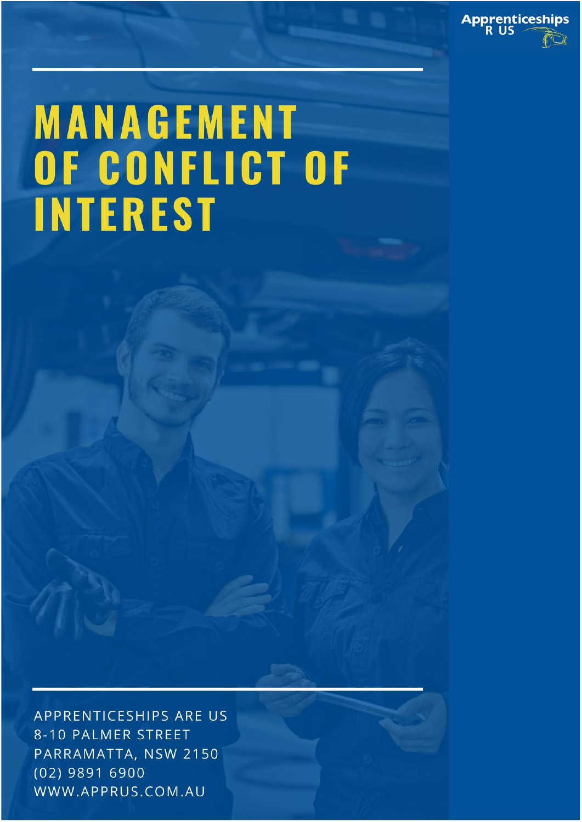

# **MANAGEMENT** OF CONFLICT OF **INTEREST**

APPRENTICESHIPS ARE US 8-10 PALMER STREET PARRAMATTA, NSW 2150 (02) 9891 6900 WWW.APPRUS.COM.AU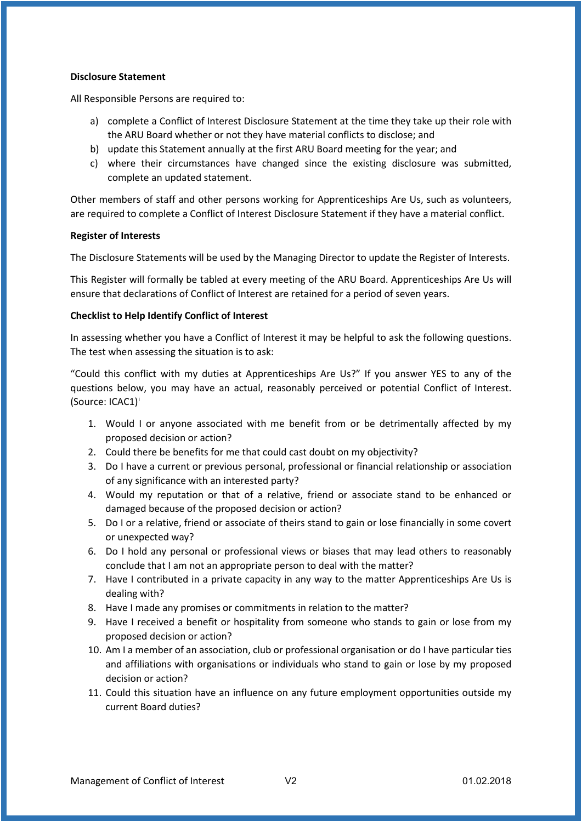#### **Disclosure Statement**

All Responsible Persons are required to:

- a) complete a Conflict of Interest Disclosure Statement at the time they take up their role with the ARU Board whether or not they have material conflicts to disclose; and
- b) update this Statement annually at the first ARU Board meeting for the year; and
- c) where their circumstances have changed since the existing disclosure was submitted, complete an updated statement.

Other members of staff and other persons working for Apprenticeships Are Us, such as volunteers, are required to complete a Conflict of Interest Disclosure Statement if they have a material conflict.

#### **Register of Interests**

The Disclosure Statements will be used by the Managing Director to update the Register of Interests.

This Register will formally be tabled at every meeting of the ARU Board. Apprenticeships Are Us will ensure that declarations of Conflict of Interest are retained for a period of seven years.

#### **Checklist to Help Identify Conflict of Interest**

In assessing whether you have a Conflict of Interest it may be helpful to ask the following questions. The test when assessing the situation is to ask:

"Could this conflict with my duties at Apprenticeships Are Us?" If you answer YES to any of the questions below, you may have an actual, reasonably perceived or potential Conflict of Interest. (Source: ICAC1)[i](#page-4-0)

- 1. Would I or anyone associated with me benefit from or be detrimentally affected by my proposed decision or action?
- 2. Could there be benefits for me that could cast doubt on my objectivity?
- 3. Do I have a current or previous personal, professional or financial relationship or association of any significance with an interested party?
- 4. Would my reputation or that of a relative, friend or associate stand to be enhanced or damaged because of the proposed decision or action?
- 5. Do I or a relative, friend or associate of theirs stand to gain or lose financially in some covert or unexpected way?
- 6. Do I hold any personal or professional views or biases that may lead others to reasonably conclude that I am not an appropriate person to deal with the matter?
- 7. Have I contributed in a private capacity in any way to the matter Apprenticeships Are Us is dealing with?
- 8. Have I made any promises or commitments in relation to the matter?
- 9. Have I received a benefit or hospitality from someone who stands to gain or lose from my proposed decision or action?
- 10. Am I a member of an association, club or professional organisation or do I have particular ties and affiliations with organisations or individuals who stand to gain or lose by my proposed decision or action?
- 11. Could this situation have an influence on any future employment opportunities outside my current Board duties?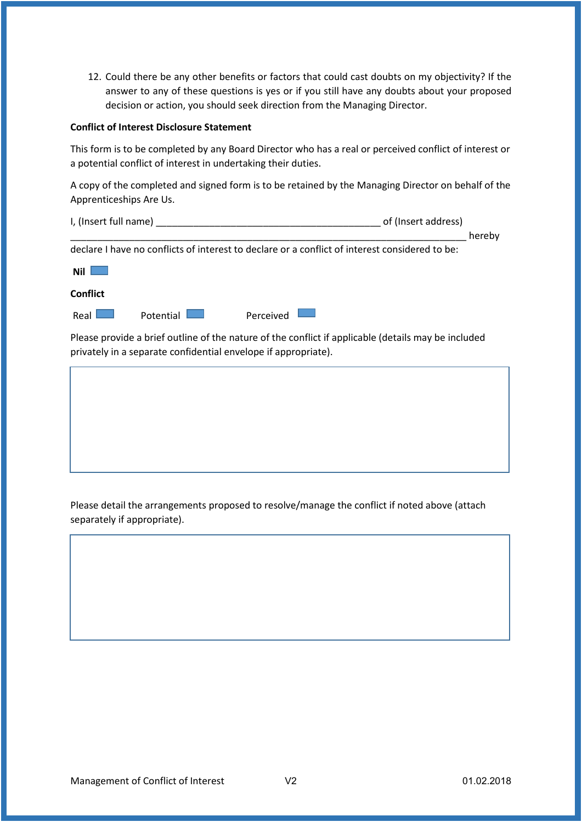12. Could there be any other benefits or factors that could cast doubts on my objectivity? If the answer to any of these questions is yes or if you still have any doubts about your proposed decision or action, you should seek direction from the Managing Director.

### **Conflict of Interest Disclosure Statement**

This form is to be completed by any Board Director who has a real or perceived conflict of interest or a potential conflict of interest in undertaking their duties.

A copy of the completed and signed form is to be retained by the Managing Director on behalf of the Apprenticeships Are Us.

| I, (Insert full name)                                          | of (Insert address)                                                                                 |        |
|----------------------------------------------------------------|-----------------------------------------------------------------------------------------------------|--------|
|                                                                |                                                                                                     | hereby |
|                                                                | declare I have no conflicts of interest to declare or a conflict of interest considered to be:      |        |
| <b>Nil</b>                                                     |                                                                                                     |        |
| Conflict                                                       |                                                                                                     |        |
| Real<br>Potential                                              | Perceived                                                                                           |        |
| privately in a separate confidential envelope if appropriate). | Please provide a brief outline of the nature of the conflict if applicable (details may be included |        |
|                                                                |                                                                                                     |        |

Please detail the arrangements proposed to resolve/manage the conflict if noted above (attach separately if appropriate).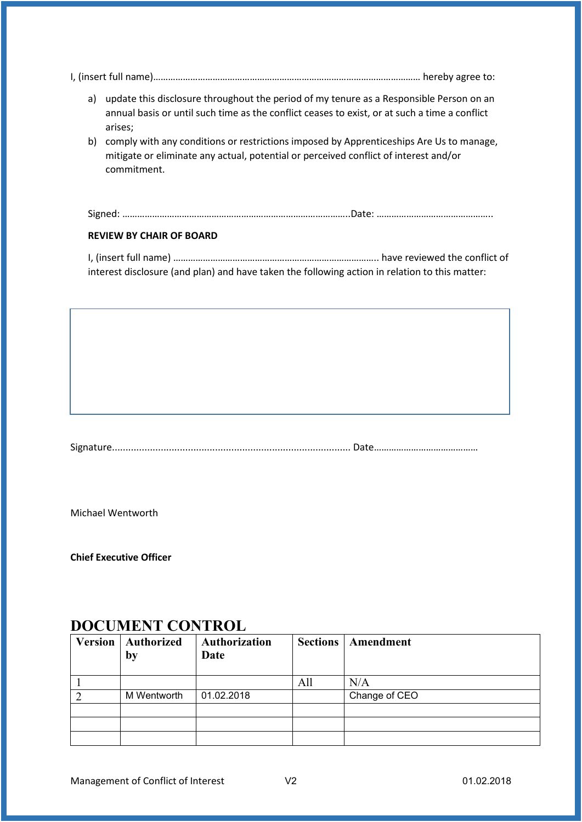|--|

- a) update this disclosure throughout the period of my tenure as a Responsible Person on an annual basis or until such time as the conflict ceases to exist, or at such a time a conflict arises;
- b) comply with any conditions or restrictions imposed by Apprenticeships Are Us to manage, mitigate or eliminate any actual, potential or perceived conflict of interest and/or commitment.

|  | ~ | Signed: ……………………………………………………………………………Date: ……………………………………… |
|--|---|------------------------------------------------------------|
|--|---|------------------------------------------------------------|

### **REVIEW BY CHAIR OF BOARD**

I, (insert full name) ……………………………………………………………………….. have reviewed the conflict of interest disclosure (and plan) and have taken the following action in relation to this matter:

Signature........................................................................................ Date……………………………………

Michael Wentworth

**Chief Executive Officer**

## **DOCUMENT CONTROL**

| Version   Authorized<br>by | <b>Authorization</b><br>Date | <b>Sections</b> | Amendment     |
|----------------------------|------------------------------|-----------------|---------------|
|                            |                              | All             | N/A           |
| M Wentworth                | 01.02.2018                   |                 | Change of CEO |
|                            |                              |                 |               |
|                            |                              |                 |               |
|                            |                              |                 |               |